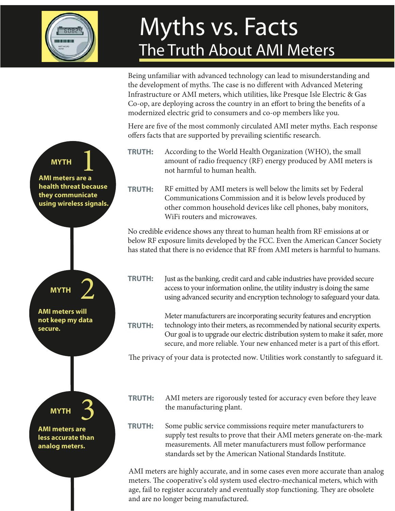

## Myths vs. Facts The Truth About AMI Meters

Being unfamiliar with advanced technology can lead to misunderstanding and the development of myths. The case is no different with Advanced Metering Infrastructure or AMI meters, which utilities, like Presque Isle Electric & Gas Co-op, are deploying across the country in an effort to bring the benefits of a modernized electric grid to consumers and co-op members like you.

Here are five of the most commonly circulated AMI meter myths. Each response offers facts that are supported by prevailing scientific research.

- **TRUTH:**  According to the World Health Organization (WHO), the small amount of radio frequency (RF) energy produced by AMI meters is not harmful to human health.
- **TRUTH:**  RF emitted by AMI meters is well below the limits set by Federal Communications Commission and it is below levels produced by other common household devices like cell phones, baby monitors, WiFi routers and microwaves.

No credible evidence shows any threat to human health from RF emissions at or below RF exposure limits developed by the FCC. Even the American Cancer Society has stated that there is no evidence that RF from AMI meters is harmful to humans.

**TRUTH:**  Just as the banking, credit card and cable industries have provided secure access to your information online, the utility industry is doing the same using advanced security and encryption technology to safeguard your data.

**TRUTH:**  Meter manufacturers are incorporating security features and encryption technology into their meters, as recommended by national security experts. Our goal is to upgrade our electric distribution system to make it safer, more secure, and more reliable. Your new enhanced meter is a part of this effort.

The privacy of your data is protected now. Utilities work constantly to safeguard it.

AMI meters are rigorously tested for accuracy even before they leave the manufacturing plant. **TRUTH:** 

**TRUTH:**  Some public service commissions require meter manufacturers to supply test results to prove that their AMI meters generate on-the-mark measurements. All meter manufacturers must follow performance standards set by the American National Standards Institute.

AMI meters are highly accurate, and in some cases even more accurate than analog meters. The cooperative's old system used electro-mechanical meters, which with age, fail to register accurately and eventually stop functioning. They are obsolete and are no longer being manufactured.